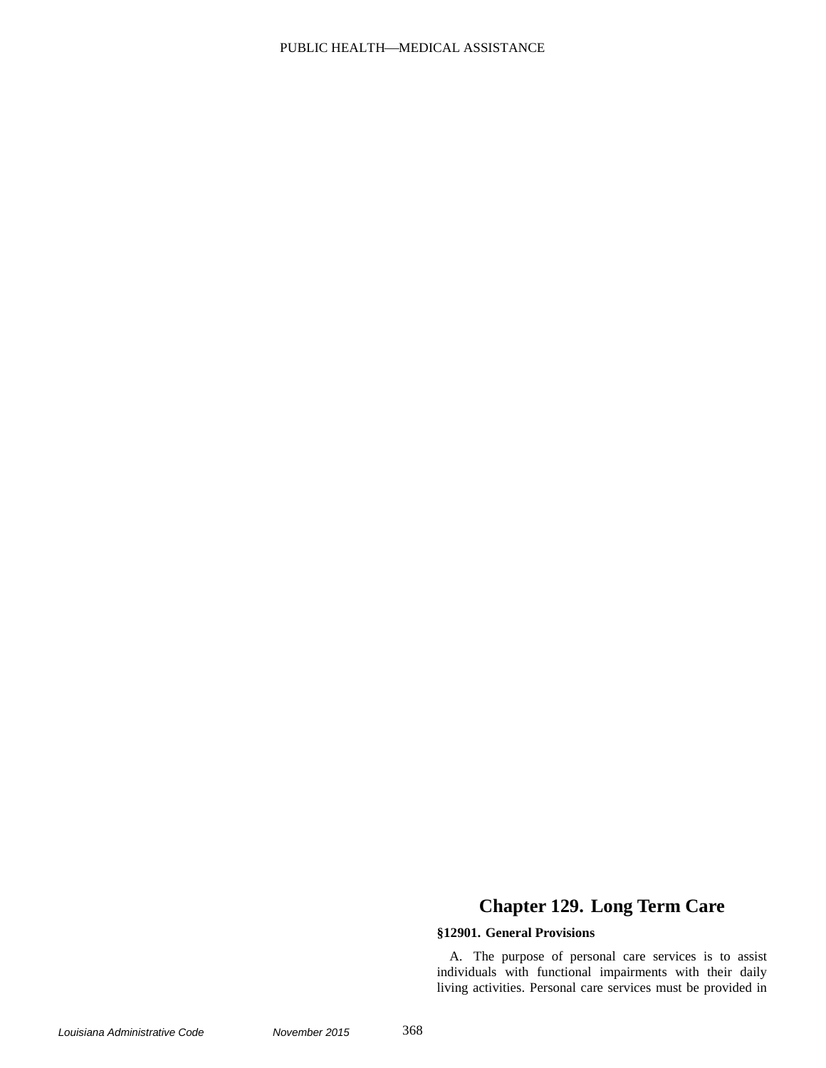# PUBLIC HEALTH-MEDICAL ASSISTANCE

# **Chapter 129. Long Term Care**

## **§12901. General Provisions**

A. The purpose of personal care services is to assist individuals with functional impairments with their daily living activities. Personal care services must be provided in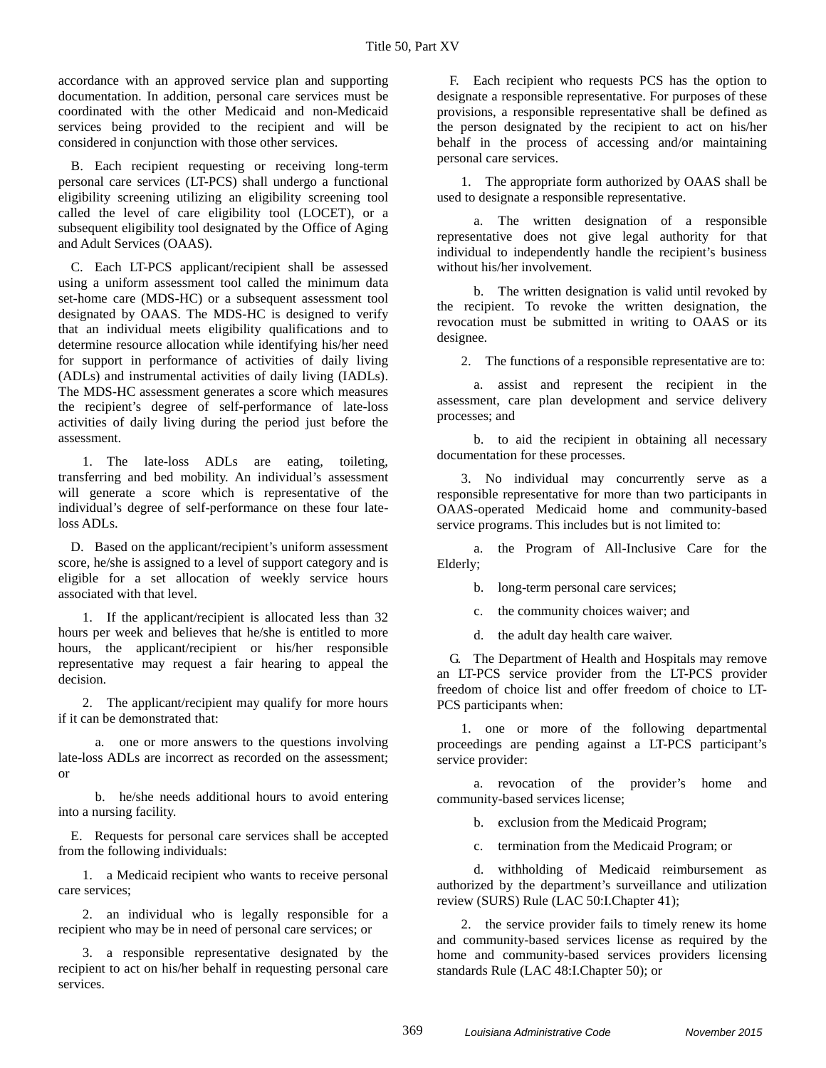accordance with an approved service plan and supporting documentation. In addition, personal care services must be coordinated with the other Medicaid and non-Medicaid services being provided to the recipient and will be considered in conjunction with those other services.

B. Each recipient requesting or receiving long-term personal care services (LT-PCS) shall undergo a functional eligibility screening utilizing an eligibility screening tool called the level of care eligibility tool (LOCET), or a subsequent eligibility tool designated by the Office of Aging and Adult Services (OAAS).

C. Each LT-PCS applicant/recipient shall be assessed using a uniform assessment tool called the minimum data set-home care (MDS-HC) or a subsequent assessment tool designated by OAAS. The MDS-HC is designed to verify that an individual meets eligibility qualifications and to determine resource allocation while identifying his/her need for support in performance of activities of daily living (ADLs) and instrumental activities of daily living (IADLs). The MDS-HC assessment generates a score which measures the recipient's degree of self-performance of late-loss activities of daily living during the period just before the assessment.

1. The late-loss ADLs are eating, toileting, transferring and bed mobility. An individual's assessment will generate a score which is representative of the individual's degree of self-performance on these four lateloss ADLs.

D. Based on the applicant/recipient's uniform assessment score, he/she is assigned to a level of support category and is eligible for a set allocation of weekly service hours associated with that level.

1. If the applicant/recipient is allocated less than 32 hours per week and believes that he/she is entitled to more hours, the applicant/recipient or his/her responsible representative may request a fair hearing to appeal the decision.

2. The applicant/recipient may qualify for more hours if it can be demonstrated that:

a. one or more answers to the questions involving late-loss ADLs are incorrect as recorded on the assessment; or

b. he/she needs additional hours to avoid entering into a nursing facility.

E. Requests for personal care services shall be accepted from the following individuals:

1. a Medicaid recipient who wants to receive personal care services;

2. an individual who is legally responsible for a recipient who may be in need of personal care services; or

3. a responsible representative designated by the recipient to act on his/her behalf in requesting personal care services.

F. Each recipient who requests PCS has the option to designate a responsible representative. For purposes of these provisions, a responsible representative shall be defined as the person designated by the recipient to act on his/her behalf in the process of accessing and/or maintaining personal care services.

1. The appropriate form authorized by OAAS shall be used to designate a responsible representative.

a. The written designation of a responsible representative does not give legal authority for that individual to independently handle the recipient's business without his/her involvement.

b. The written designation is valid until revoked by the recipient. To revoke the written designation, the revocation must be submitted in writing to OAAS or its designee.

2. The functions of a responsible representative are to:

a. assist and represent the recipient in the assessment, care plan development and service delivery processes; and

b. to aid the recipient in obtaining all necessary documentation for these processes.

3. No individual may concurrently serve as a responsible representative for more than two participants in OAAS-operated Medicaid home and community-based service programs. This includes but is not limited to:

a. the Program of All-Inclusive Care for the Elderly;

b. long-term personal care services;

c. the community choices waiver; and

d. the adult day health care waiver.

G. The Department of Health and Hospitals may remove an LT-PCS service provider from the LT-PCS provider freedom of choice list and offer freedom of choice to LT-PCS participants when:

1. one or more of the following departmental proceedings are pending against a LT-PCS participant's service provider:

a. revocation of the provider's home and community-based services license;

b. exclusion from the Medicaid Program;

c. termination from the Medicaid Program; or

d. withholding of Medicaid reimbursement as authorized by the department's surveillance and utilization review (SURS) Rule (LAC 50:I.Chapter 41);

2. the service provider fails to timely renew its home and community-based services license as required by the home and community-based services providers licensing standards Rule (LAC 48:I.Chapter 50); or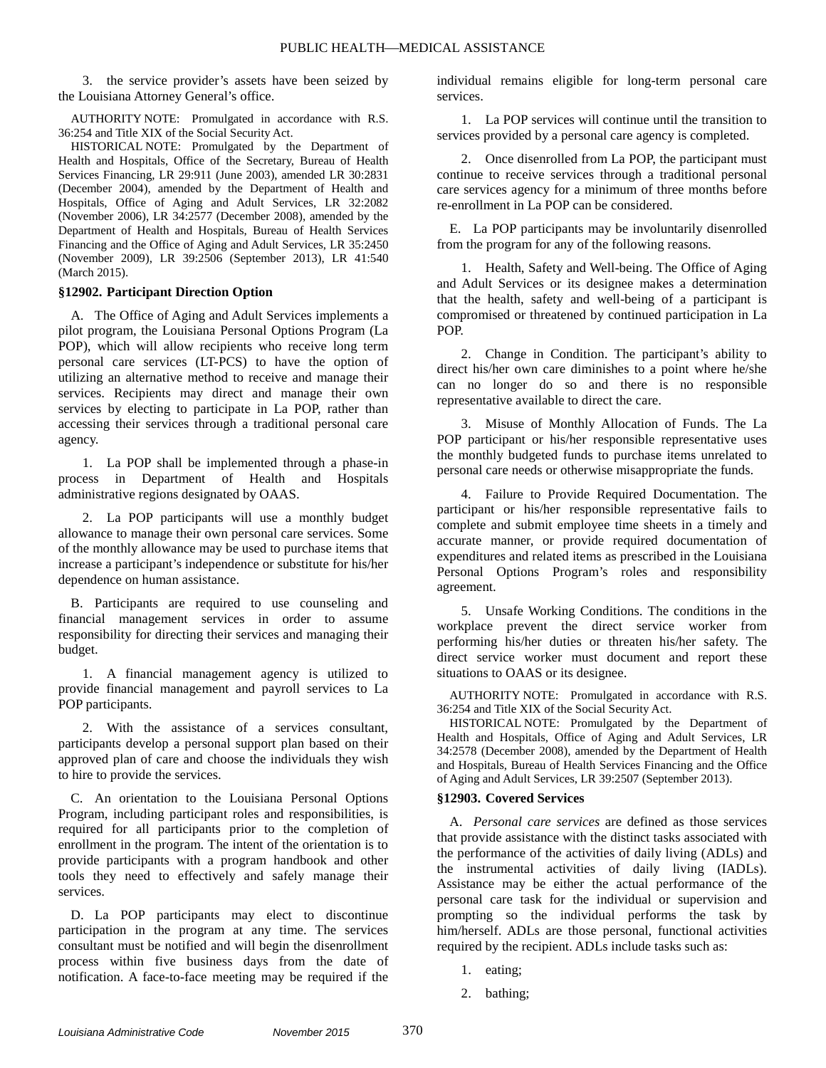3. the service provider's assets have been seized by the Louisiana Attorney General's office.

AUTHORITY NOTE: Promulgated in accordance with R.S. 36:254 and Title XIX of the Social Security Act.

HISTORICAL NOTE: Promulgated by the Department of Health and Hospitals, Office of the Secretary, Bureau of Health Services Financing, LR 29:911 (June 2003), amended LR 30:2831 (December 2004), amended by the Department of Health and Hospitals, Office of Aging and Adult Services, LR 32:2082 (November 2006), LR 34:2577 (December 2008), amended by the Department of Health and Hospitals, Bureau of Health Services Financing and the Office of Aging and Adult Services, LR 35:2450 (November 2009), LR 39:2506 (September 2013), LR 41:540 (March 2015).

#### **§12902. Participant Direction Option**

A. The Office of Aging and Adult Services implements a pilot program, the Louisiana Personal Options Program (La POP), which will allow recipients who receive long term personal care services (LT-PCS) to have the option of utilizing an alternative method to receive and manage their services. Recipients may direct and manage their own services by electing to participate in La POP, rather than accessing their services through a traditional personal care agency.

1. La POP shall be implemented through a phase-in process in Department of Health and Hospitals administrative regions designated by OAAS.

2. La POP participants will use a monthly budget allowance to manage their own personal care services. Some of the monthly allowance may be used to purchase items that increase a participant's independence or substitute for his/her dependence on human assistance.

B. Participants are required to use counseling and financial management services in order to assume responsibility for directing their services and managing their budget.

1. A financial management agency is utilized to provide financial management and payroll services to La POP participants.

2. With the assistance of a services consultant, participants develop a personal support plan based on their approved plan of care and choose the individuals they wish to hire to provide the services.

C. An orientation to the Louisiana Personal Options Program, including participant roles and responsibilities, is required for all participants prior to the completion of enrollment in the program. The intent of the orientation is to provide participants with a program handbook and other tools they need to effectively and safely manage their services.

D. La POP participants may elect to discontinue participation in the program at any time. The services consultant must be notified and will begin the disenrollment process within five business days from the date of notification. A face-to-face meeting may be required if the individual remains eligible for long-term personal care services.

1. La POP services will continue until the transition to services provided by a personal care agency is completed.

2. Once disenrolled from La POP, the participant must continue to receive services through a traditional personal care services agency for a minimum of three months before re-enrollment in La POP can be considered.

E. La POP participants may be involuntarily disenrolled from the program for any of the following reasons.

1. Health, Safety and Well-being. The Office of Aging and Adult Services or its designee makes a determination that the health, safety and well-being of a participant is compromised or threatened by continued participation in La POP.

2. Change in Condition. The participant's ability to direct his/her own care diminishes to a point where he/she can no longer do so and there is no responsible representative available to direct the care.

3. Misuse of Monthly Allocation of Funds. The La POP participant or his/her responsible representative uses the monthly budgeted funds to purchase items unrelated to personal care needs or otherwise misappropriate the funds.

4. Failure to Provide Required Documentation. The participant or his/her responsible representative fails to complete and submit employee time sheets in a timely and accurate manner, or provide required documentation of expenditures and related items as prescribed in the Louisiana Personal Options Program's roles and responsibility agreement.

5. Unsafe Working Conditions. The conditions in the workplace prevent the direct service worker from performing his/her duties or threaten his/her safety. The direct service worker must document and report these situations to OAAS or its designee.

AUTHORITY NOTE: Promulgated in accordance with R.S. 36:254 and Title XIX of the Social Security Act.

HISTORICAL NOTE: Promulgated by the Department of Health and Hospitals, Office of Aging and Adult Services, LR 34:2578 (December 2008), amended by the Department of Health and Hospitals, Bureau of Health Services Financing and the Office of Aging and Adult Services, LR 39:2507 (September 2013).

## **§12903. Covered Services**

A. *Personal care services* are defined as those services that provide assistance with the distinct tasks associated with the performance of the activities of daily living (ADLs) and the instrumental activities of daily living (IADLs). Assistance may be either the actual performance of the personal care task for the individual or supervision and prompting so the individual performs the task by him/herself. ADLs are those personal, functional activities required by the recipient. ADLs include tasks such as:

- 1. eating;
- 2. bathing;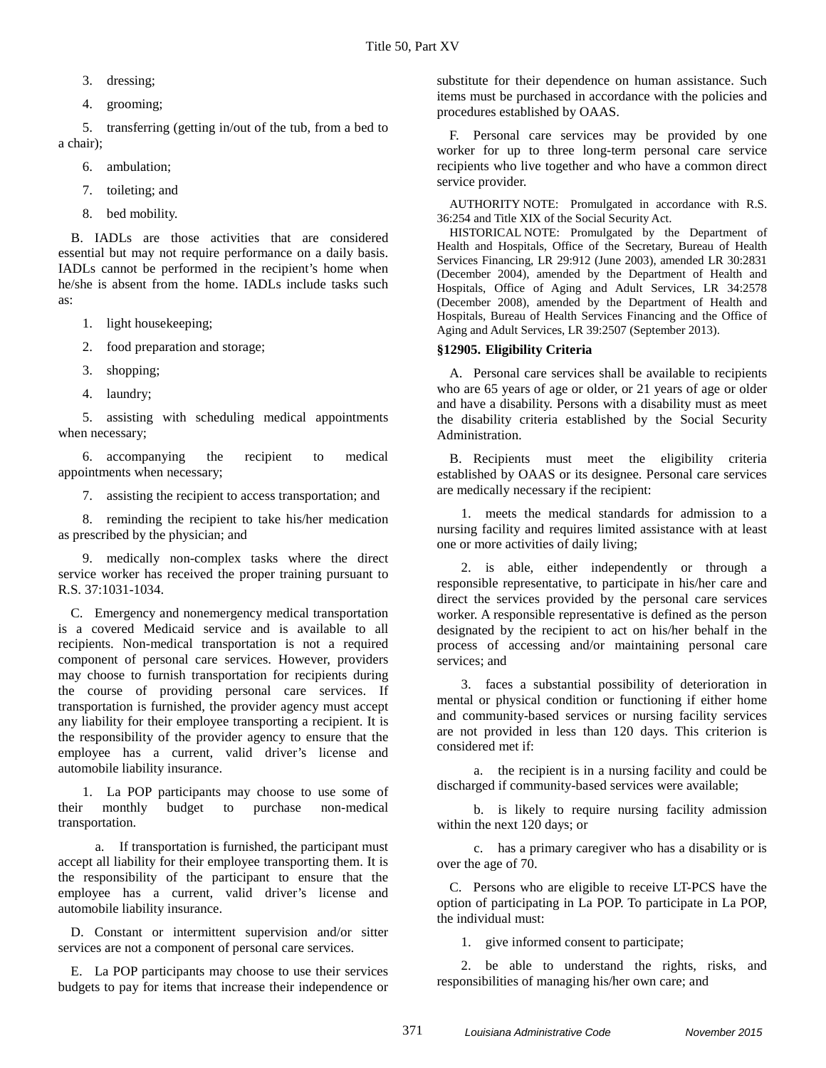- 3. dressing;
- 4. grooming;

5. transferring (getting in/out of the tub, from a bed to a chair);

- 6. ambulation;
- 7. toileting; and
- 8. bed mobility.

B. IADLs are those activities that are considered essential but may not require performance on a daily basis. IADLs cannot be performed in the recipient's home when he/she is absent from the home. IADLs include tasks such as:

1. light housekeeping;

2. food preparation and storage;

- 3. shopping;
- 4. laundry;

5. assisting with scheduling medical appointments when necessary;

6. accompanying the recipient to medical appointments when necessary;

7. assisting the recipient to access transportation; and

8. reminding the recipient to take his/her medication as prescribed by the physician; and

9. medically non-complex tasks where the direct service worker has received the proper training pursuant to R.S. 37:1031-1034.

C. Emergency and nonemergency medical transportation is a covered Medicaid service and is available to all recipients. Non-medical transportation is not a required component of personal care services. However, providers may choose to furnish transportation for recipients during the course of providing personal care services. If transportation is furnished, the provider agency must accept any liability for their employee transporting a recipient. It is the responsibility of the provider agency to ensure that the employee has a current, valid driver's license and automobile liability insurance.

1. La POP participants may choose to use some of their monthly budget to purchase non-medical transportation.

a. If transportation is furnished, the participant must accept all liability for their employee transporting them. It is the responsibility of the participant to ensure that the employee has a current, valid driver's license and automobile liability insurance.

D. Constant or intermittent supervision and/or sitter services are not a component of personal care services.

E. La POP participants may choose to use their services budgets to pay for items that increase their independence or

substitute for their dependence on human assistance. Such items must be purchased in accordance with the policies and procedures established by OAAS.

F. Personal care services may be provided by one worker for up to three long-term personal care service recipients who live together and who have a common direct service provider.

AUTHORITY NOTE: Promulgated in accordance with R.S. 36:254 and Title XIX of the Social Security Act.

HISTORICAL NOTE: Promulgated by the Department of Health and Hospitals, Office of the Secretary, Bureau of Health Services Financing, LR 29:912 (June 2003), amended LR 30:2831 (December 2004), amended by the Department of Health and Hospitals, Office of Aging and Adult Services, LR 34:2578 (December 2008), amended by the Department of Health and Hospitals, Bureau of Health Services Financing and the Office of Aging and Adult Services, LR 39:2507 (September 2013).

## **§12905. Eligibility Criteria**

A. Personal care services shall be available to recipients who are 65 years of age or older, or 21 years of age or older and have a disability. Persons with a disability must as meet the disability criteria established by the Social Security Administration.

B. Recipients must meet the eligibility criteria established by OAAS or its designee. Personal care services are medically necessary if the recipient:

1. meets the medical standards for admission to a nursing facility and requires limited assistance with at least one or more activities of daily living;

2. is able, either independently or through a responsible representative, to participate in his/her care and direct the services provided by the personal care services worker. A responsible representative is defined as the person designated by the recipient to act on his/her behalf in the process of accessing and/or maintaining personal care services; and

3. faces a substantial possibility of deterioration in mental or physical condition or functioning if either home and community-based services or nursing facility services are not provided in less than 120 days. This criterion is considered met if:

a. the recipient is in a nursing facility and could be discharged if community-based services were available;

b. is likely to require nursing facility admission within the next 120 days; or

c. has a primary caregiver who has a disability or is over the age of 70.

C. Persons who are eligible to receive LT-PCS have the option of participating in La POP. To participate in La POP, the individual must:

1. give informed consent to participate;

2. be able to understand the rights, risks, and responsibilities of managing his/her own care; and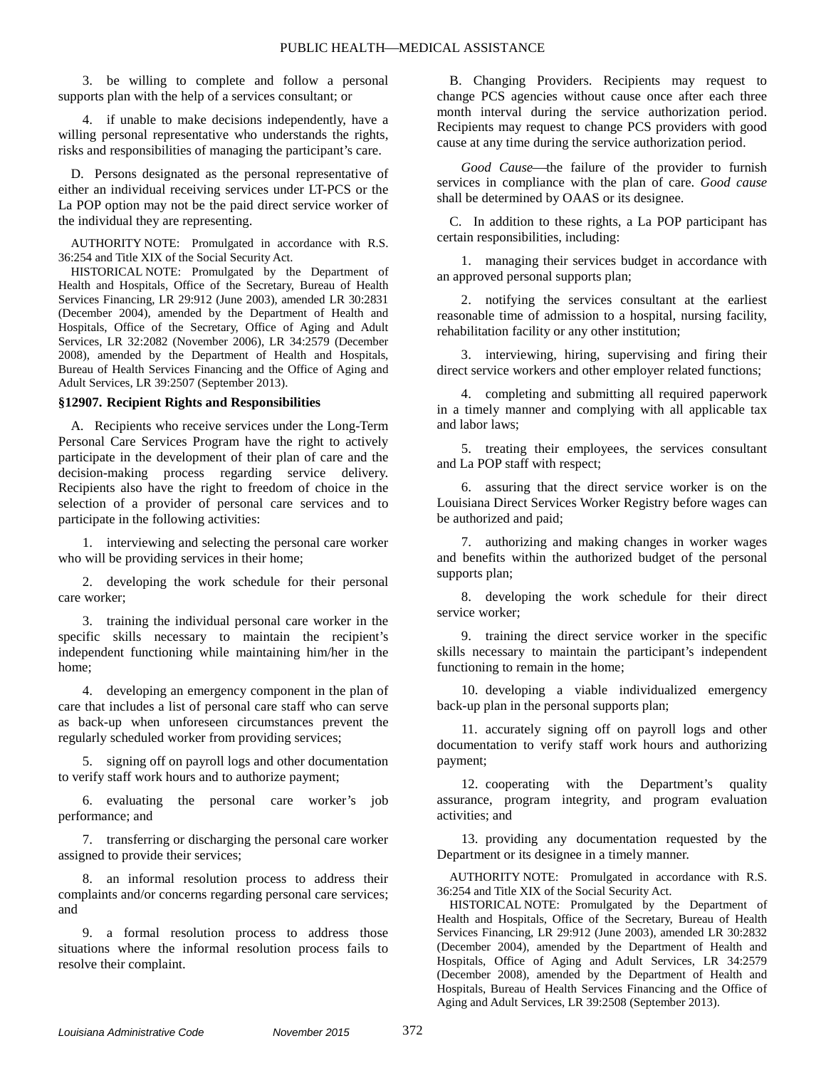3. be willing to complete and follow a personal supports plan with the help of a services consultant; or

4. if unable to make decisions independently, have a willing personal representative who understands the rights, risks and responsibilities of managing the participant's care.

D. Persons designated as the personal representative of either an individual receiving services under LT-PCS or the La POP option may not be the paid direct service worker of the individual they are representing.

AUTHORITY NOTE: Promulgated in accordance with R.S. 36:254 and Title XIX of the Social Security Act.

HISTORICAL NOTE: Promulgated by the Department of Health and Hospitals, Office of the Secretary, Bureau of Health Services Financing, LR 29:912 (June 2003), amended LR 30:2831 (December 2004), amended by the Department of Health and Hospitals, Office of the Secretary, Office of Aging and Adult Services, LR 32:2082 (November 2006), LR 34:2579 (December 2008), amended by the Department of Health and Hospitals, Bureau of Health Services Financing and the Office of Aging and Adult Services, LR 39:2507 (September 2013).

#### **§12907. Recipient Rights and Responsibilities**

A. Recipients who receive services under the Long-Term Personal Care Services Program have the right to actively participate in the development of their plan of care and the decision-making process regarding service delivery. Recipients also have the right to freedom of choice in the selection of a provider of personal care services and to participate in the following activities:

1. interviewing and selecting the personal care worker who will be providing services in their home;

2. developing the work schedule for their personal care worker;

3. training the individual personal care worker in the specific skills necessary to maintain the recipient's independent functioning while maintaining him/her in the home;

4. developing an emergency component in the plan of care that includes a list of personal care staff who can serve as back-up when unforeseen circumstances prevent the regularly scheduled worker from providing services;

5. signing off on payroll logs and other documentation to verify staff work hours and to authorize payment;

6. evaluating the personal care worker's job performance; and

7. transferring or discharging the personal care worker assigned to provide their services;

8. an informal resolution process to address their complaints and/or concerns regarding personal care services; and

9. a formal resolution process to address those situations where the informal resolution process fails to resolve their complaint.

B. Changing Providers. Recipients may request to change PCS agencies without cause once after each three month interval during the service authorization period. Recipients may request to change PCS providers with good cause at any time during the service authorization period.

Good Cause—the failure of the provider to furnish services in compliance with the plan of care. *Good cause* shall be determined by OAAS or its designee.

C. In addition to these rights, a La POP participant has certain responsibilities, including:

1. managing their services budget in accordance with an approved personal supports plan;

2. notifying the services consultant at the earliest reasonable time of admission to a hospital, nursing facility, rehabilitation facility or any other institution;

3. interviewing, hiring, supervising and firing their direct service workers and other employer related functions;

4. completing and submitting all required paperwork in a timely manner and complying with all applicable tax and labor laws;

5. treating their employees, the services consultant and La POP staff with respect;

6. assuring that the direct service worker is on the Louisiana Direct Services Worker Registry before wages can be authorized and paid;

7. authorizing and making changes in worker wages and benefits within the authorized budget of the personal supports plan;

8. developing the work schedule for their direct service worker;

9. training the direct service worker in the specific skills necessary to maintain the participant's independent functioning to remain in the home;

10. developing a viable individualized emergency back-up plan in the personal supports plan;

11. accurately signing off on payroll logs and other documentation to verify staff work hours and authorizing payment;

12. cooperating with the Department's quality assurance, program integrity, and program evaluation activities; and

13. providing any documentation requested by the Department or its designee in a timely manner.

AUTHORITY NOTE: Promulgated in accordance with R.S. 36:254 and Title XIX of the Social Security Act.

HISTORICAL NOTE: Promulgated by the Department of Health and Hospitals, Office of the Secretary, Bureau of Health Services Financing, LR 29:912 (June 2003), amended LR 30:2832 (December 2004), amended by the Department of Health and Hospitals, Office of Aging and Adult Services, LR 34:2579 (December 2008), amended by the Department of Health and Hospitals, Bureau of Health Services Financing and the Office of Aging and Adult Services, LR 39:2508 (September 2013).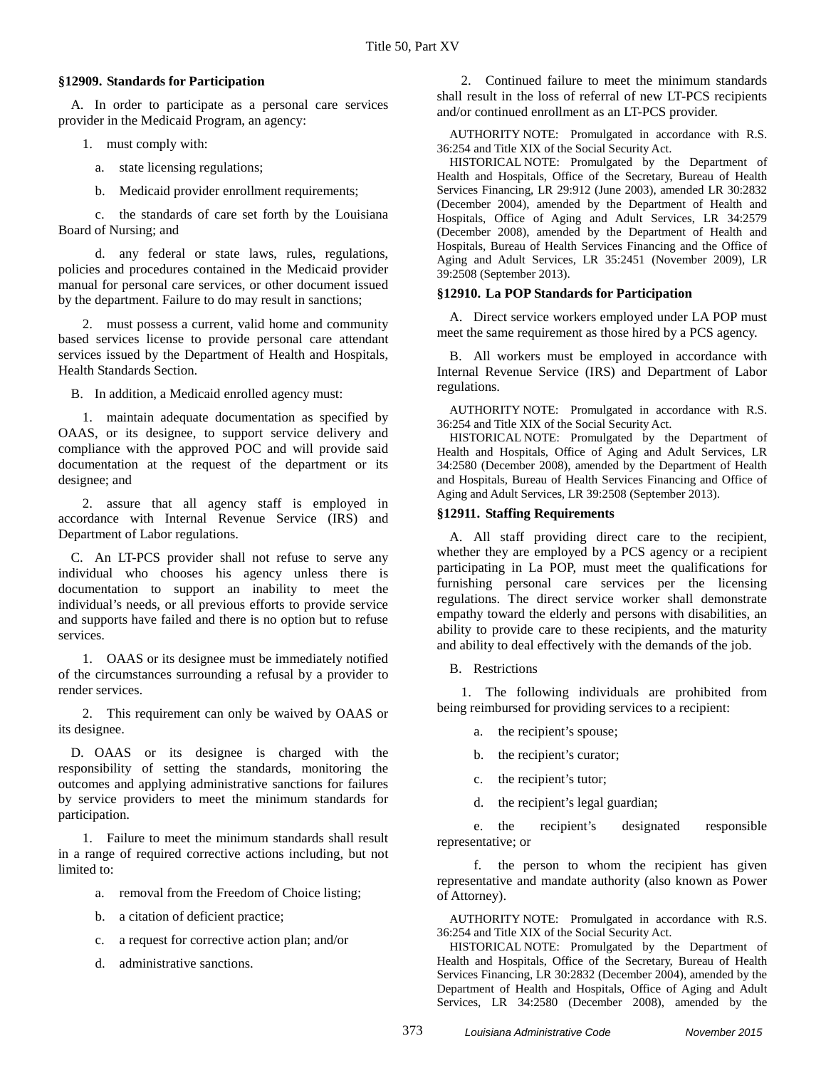#### **§12909. Standards for Participation**

A. In order to participate as a personal care services provider in the Medicaid Program, an agency:

1. must comply with:

- a. state licensing regulations;
- b. Medicaid provider enrollment requirements;

c. the standards of care set forth by the Louisiana Board of Nursing; and

d. any federal or state laws, rules, regulations, policies and procedures contained in the Medicaid provider manual for personal care services, or other document issued by the department. Failure to do may result in sanctions;

2. must possess a current, valid home and community based services license to provide personal care attendant services issued by the Department of Health and Hospitals, Health Standards Section.

B. In addition, a Medicaid enrolled agency must:

1. maintain adequate documentation as specified by OAAS, or its designee, to support service delivery and compliance with the approved POC and will provide said documentation at the request of the department or its designee; and

2. assure that all agency staff is employed in accordance with Internal Revenue Service (IRS) and Department of Labor regulations.

C. An LT-PCS provider shall not refuse to serve any individual who chooses his agency unless there is documentation to support an inability to meet the individual's needs, or all previous efforts to provide service and supports have failed and there is no option but to refuse services.

1. OAAS or its designee must be immediately notified of the circumstances surrounding a refusal by a provider to render services.

2. This requirement can only be waived by OAAS or its designee.

D. OAAS or its designee is charged with the responsibility of setting the standards, monitoring the outcomes and applying administrative sanctions for failures by service providers to meet the minimum standards for participation.

1. Failure to meet the minimum standards shall result in a range of required corrective actions including, but not limited to:

- a. removal from the Freedom of Choice listing;
- b. a citation of deficient practice;
- c. a request for corrective action plan; and/or
- d. administrative sanctions.

2. Continued failure to meet the minimum standards shall result in the loss of referral of new LT-PCS recipients and/or continued enrollment as an LT-PCS provider.

AUTHORITY NOTE: Promulgated in accordance with R.S. 36:254 and Title XIX of the Social Security Act.

HISTORICAL NOTE: Promulgated by the Department of Health and Hospitals, Office of the Secretary, Bureau of Health Services Financing, LR 29:912 (June 2003), amended LR 30:2832 (December 2004), amended by the Department of Health and Hospitals, Office of Aging and Adult Services, LR 34:2579 (December 2008), amended by the Department of Health and Hospitals, Bureau of Health Services Financing and the Office of Aging and Adult Services, LR 35:2451 (November 2009), LR 39:2508 (September 2013).

#### **§12910. La POP Standards for Participation**

A. Direct service workers employed under LA POP must meet the same requirement as those hired by a PCS agency.

B. All workers must be employed in accordance with Internal Revenue Service (IRS) and Department of Labor regulations.

AUTHORITY NOTE: Promulgated in accordance with R.S. 36:254 and Title XIX of the Social Security Act.

HISTORICAL NOTE: Promulgated by the Department of Health and Hospitals, Office of Aging and Adult Services, LR 34:2580 (December 2008), amended by the Department of Health and Hospitals, Bureau of Health Services Financing and Office of Aging and Adult Services, LR 39:2508 (September 2013).

#### **§12911. Staffing Requirements**

A. All staff providing direct care to the recipient, whether they are employed by a PCS agency or a recipient participating in La POP, must meet the qualifications for furnishing personal care services per the licensing regulations. The direct service worker shall demonstrate empathy toward the elderly and persons with disabilities, an ability to provide care to these recipients, and the maturity and ability to deal effectively with the demands of the job.

B. Restrictions

1. The following individuals are prohibited from being reimbursed for providing services to a recipient:

- a. the recipient's spouse;
- b. the recipient's curator;
- c. the recipient's tutor;
- d. the recipient's legal guardian;

e. the recipient's designated responsible representative; or

f. the person to whom the recipient has given representative and mandate authority (also known as Power of Attorney).

AUTHORITY NOTE: Promulgated in accordance with R.S. 36:254 and Title XIX of the Social Security Act.

HISTORICAL NOTE: Promulgated by the Department of Health and Hospitals, Office of the Secretary, Bureau of Health Services Financing, LR 30:2832 (December 2004), amended by the Department of Health and Hospitals, Office of Aging and Adult Services, LR 34:2580 (December 2008), amended by the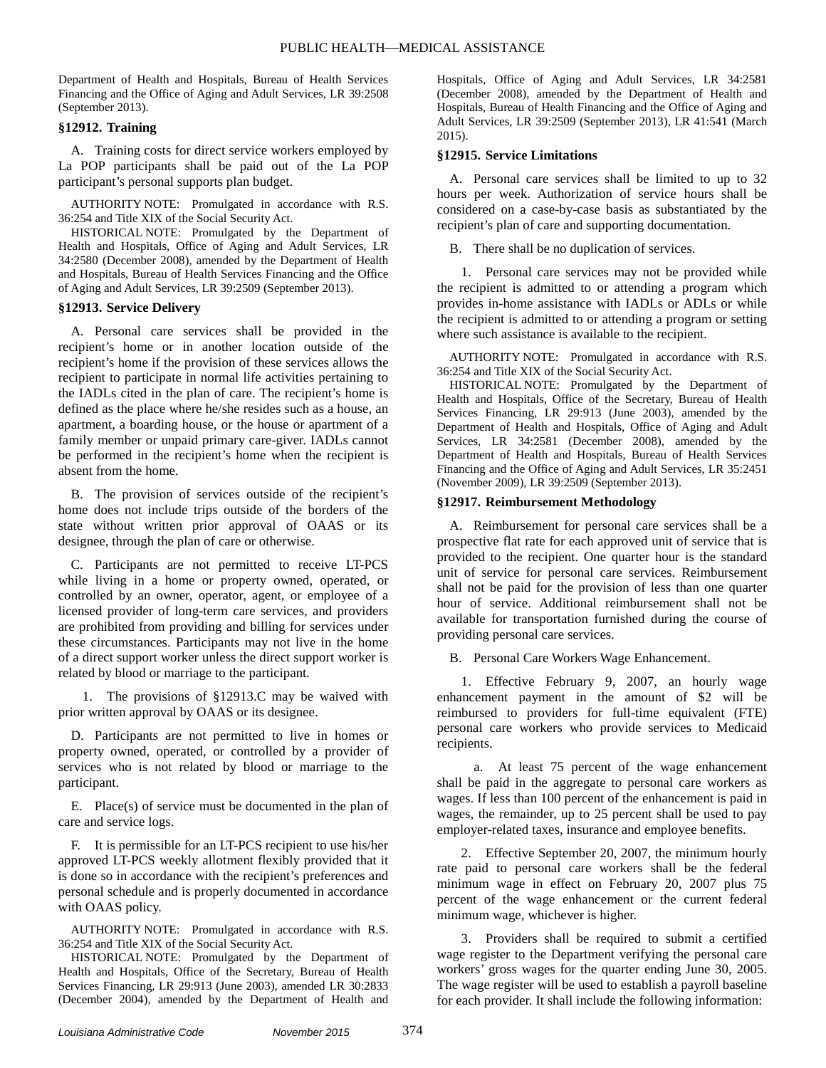Department of Health and Hospitals, Bureau of Health Services Financing and the Office of Aging and Adult Services, LR 39:2508 (September 2013).

## **§12912. Training**

A. Training costs for direct service workers employed by La POP participants shall be paid out of the La POP participant's personal supports plan budget.

AUTHORITY NOTE: Promulgated in accordance with R.S. 36:254 and Title XIX of the Social Security Act.

HISTORICAL NOTE: Promulgated by the Department of Health and Hospitals, Office of Aging and Adult Services, LR 34:2580 (December 2008), amended by the Department of Health and Hospitals, Bureau of Health Services Financing and the Office of Aging and Adult Services, LR 39:2509 (September 2013).

#### **§12913. Service Delivery**

A. Personal care services shall be provided in the recipient's home or in another location outside of the recipient's home if the provision of these services allows the recipient to participate in normal life activities pertaining to the IADLs cited in the plan of care. The recipient's home is defined as the place where he/she resides such as a house, an apartment, a boarding house, or the house or apartment of a family member or unpaid primary care-giver. IADLs cannot be performed in the recipient's home when the recipient is absent from the home.

B. The provision of services outside of the recipient's home does not include trips outside of the borders of the state without written prior approval of OAAS or its designee, through the plan of care or otherwise.

C. Participants are not permitted to receive LT-PCS while living in a home or property owned, operated, or controlled by an owner, operator, agent, or employee of a licensed provider of long-term care services, and providers are prohibited from providing and billing for services under these circumstances. Participants may not live in the home of a direct support worker unless the direct support worker is related by blood or marriage to the participant.

1. The provisions of §12913.C may be waived with prior written approval by OAAS or its designee.

D. Participants are not permitted to live in homes or property owned, operated, or controlled by a provider of services who is not related by blood or marriage to the participant.

E. Place(s) of service must be documented in the plan of care and service logs.

F. It is permissible for an LT-PCS recipient to use his/her approved LT-PCS weekly allotment flexibly provided that it is done so in accordance with the recipient's preferences and personal schedule and is properly documented in accordance with OAAS policy.

AUTHORITY NOTE: Promulgated in accordance with R.S. 36:254 and Title XIX of the Social Security Act.

HISTORICAL NOTE: Promulgated by the Department of Health and Hospitals, Office of the Secretary, Bureau of Health Services Financing, LR 29:913 (June 2003), amended LR 30:2833 (December 2004), amended by the Department of Health and Hospitals, Office of Aging and Adult Services, LR 34:2581 (December 2008), amended by the Department of Health and Hospitals, Bureau of Health Financing and the Office of Aging and Adult Services, LR 39:2509 (September 2013), LR 41:541 (March 2015).

#### **§12915. Service Limitations**

A. Personal care services shall be limited to up to 32 hours per week. Authorization of service hours shall be considered on a case-by-case basis as substantiated by the recipient's plan of care and supporting documentation.

B. There shall be no duplication of services.

1. Personal care services may not be provided while the recipient is admitted to or attending a program which provides in-home assistance with IADLs or ADLs or while the recipient is admitted to or attending a program or setting where such assistance is available to the recipient.

AUTHORITY NOTE: Promulgated in accordance with R.S. 36:254 and Title XIX of the Social Security Act.

HISTORICAL NOTE: Promulgated by the Department of Health and Hospitals, Office of the Secretary, Bureau of Health Services Financing, LR 29:913 (June 2003), amended by the Department of Health and Hospitals, Office of Aging and Adult Services, LR 34:2581 (December 2008), amended by the Department of Health and Hospitals, Bureau of Health Services Financing and the Office of Aging and Adult Services, LR 35:2451 (November 2009), LR 39:2509 (September 2013).

#### **§12917. Reimbursement Methodology**

A. Reimbursement for personal care services shall be a prospective flat rate for each approved unit of service that is provided to the recipient. One quarter hour is the standard unit of service for personal care services. Reimbursement shall not be paid for the provision of less than one quarter hour of service. Additional reimbursement shall not be available for transportation furnished during the course of providing personal care services.

B. Personal Care Workers Wage Enhancement.

1. Effective February 9, 2007, an hourly wage enhancement payment in the amount of \$2 will be reimbursed to providers for full-time equivalent (FTE) personal care workers who provide services to Medicaid recipients.

a. At least 75 percent of the wage enhancement shall be paid in the aggregate to personal care workers as wages. If less than 100 percent of the enhancement is paid in wages, the remainder, up to 25 percent shall be used to pay employer-related taxes, insurance and employee benefits.

2. Effective September 20, 2007, the minimum hourly rate paid to personal care workers shall be the federal minimum wage in effect on February 20, 2007 plus 75 percent of the wage enhancement or the current federal minimum wage, whichever is higher.

3. Providers shall be required to submit a certified wage register to the Department verifying the personal care workers' gross wages for the quarter ending June 30, 2005. The wage register will be used to establish a payroll baseline for each provider. It shall include the following information: